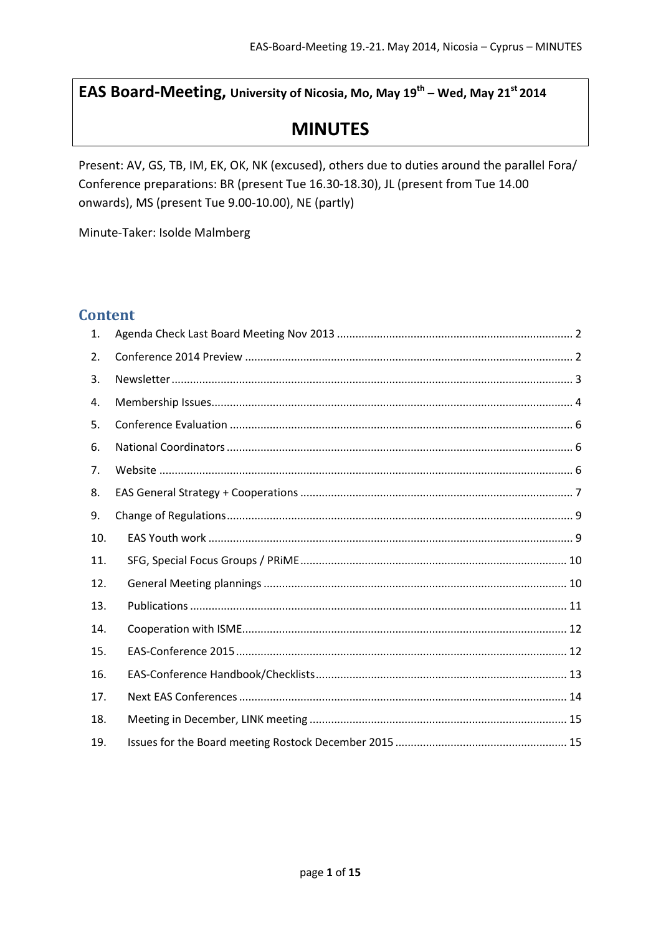EAS Board-Meeting, University of Nicosia, Mo, May 19<sup>th</sup> - Wed, May 21<sup>st</sup> 2014

# **MINUTES**

Present: AV, GS, TB, IM, EK, OK, NK (excused), others due to duties around the parallel Fora/ Conference preparations: BR (present Tue 16.30-18.30), JL (present from Tue 14.00 onwards), MS (present Tue 9.00-10.00), NE (partly)

Minute-Taker: Isolde Malmberg

# **Content**

| 1.  |  |
|-----|--|
| 2.  |  |
| 3.  |  |
| 4.  |  |
| 5.  |  |
| 6.  |  |
| 7.  |  |
| 8.  |  |
| 9.  |  |
| 10. |  |
| 11. |  |
| 12. |  |
| 13. |  |
| 14. |  |
| 15. |  |
| 16. |  |
| 17. |  |
| 18. |  |
| 19. |  |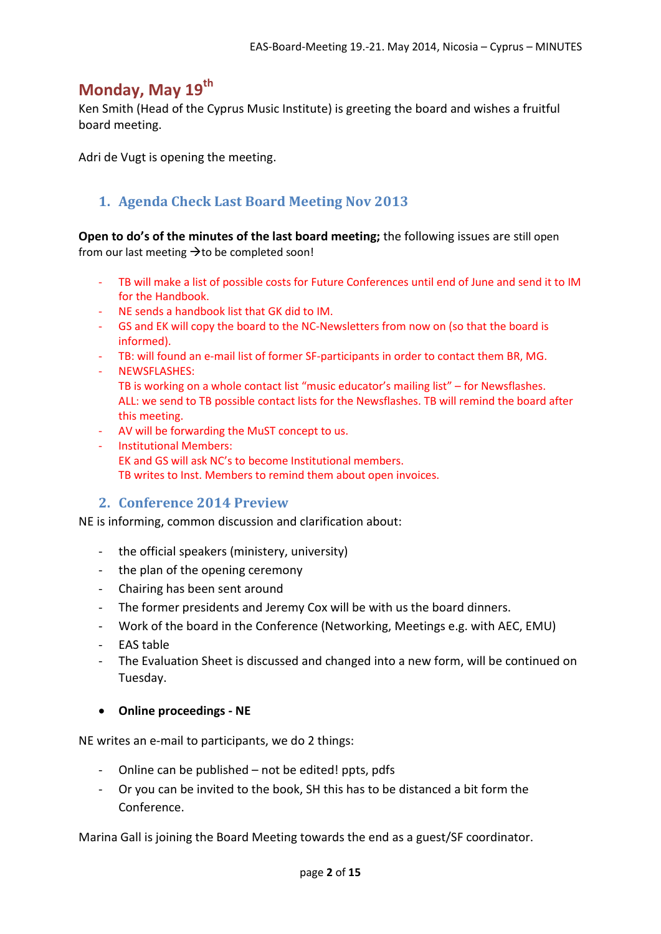# **Monday, May 19th**

Ken Smith (Head of the Cyprus Music Institute) is greeting the board and wishes a fruitful board meeting.

Adri de Vugt is opening the meeting.

# <span id="page-1-0"></span>**1. Agenda Check Last Board Meeting Nov 2013**

**Open to do's of the minutes of the last board meeting;** the following issues are still open from our last meeting  $\rightarrow$  to be completed soon!

- TB will make a list of possible costs for Future Conferences until end of June and send it to IM for the Handbook.
- NE sends a handbook list that GK did to IM.
- GS and EK will copy the board to the NC-Newsletters from now on (so that the board is informed).
- TB: will found an e-mail list of former SF-participants in order to contact them BR, MG.
- NEWSFLASHES:
	- TB is working on a whole contact list "music educator's mailing list" for Newsflashes. ALL: we send to TB possible contact lists for the Newsflashes. TB will remind the board after this meeting.
- AV will be forwarding the MuST concept to us.
- Institutional Members: EK and GS will ask NC's to become Institutional members. TB writes to Inst. Members to remind them about open invoices.

## <span id="page-1-1"></span>**2. Conference 2014 Preview**

NE is informing, common discussion and clarification about:

- the official speakers (ministery, university)
- the plan of the opening ceremony
- Chairing has been sent around
- The former presidents and Jeremy Cox will be with us the board dinners.
- Work of the board in the Conference (Networking, Meetings e.g. with AEC, EMU)
- EAS table
- The Evaluation Sheet is discussed and changed into a new form, will be continued on Tuesday.

#### • **Online proceedings - NE**

NE writes an e-mail to participants, we do 2 things:

- Online can be published not be edited! ppts, pdfs
- Or you can be invited to the book, SH this has to be distanced a bit form the Conference.

Marina Gall is joining the Board Meeting towards the end as a guest/SF coordinator.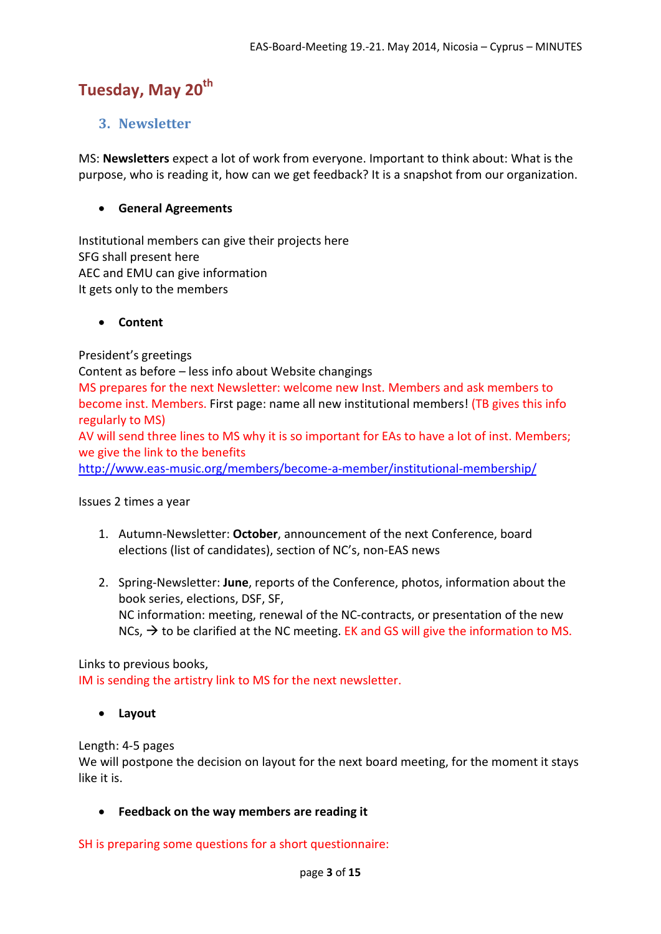# Tuesday, May 20<sup>th</sup>

# <span id="page-2-0"></span>**3. Newsletter**

MS: **Newsletters** expect a lot of work from everyone. Important to think about: What is the purpose, who is reading it, how can we get feedback? It is a snapshot from our organization.

### • **General Agreements**

Institutional members can give their projects here SFG shall present here AEC and EMU can give information It gets only to the members

#### • **Content**

President's greetings

Content as before – less info about Website changings

MS prepares for the next Newsletter: welcome new Inst. Members and ask members to become inst. Members. First page: name all new institutional members! (TB gives this info regularly to MS)

AV will send three lines to MS why it is so important for EAs to have a lot of inst. Members; we give the link to the benefits

<http://www.eas-music.org/members/become-a-member/institutional-membership/>

#### Issues 2 times a year

- 1. Autumn-Newsletter: **October**, announcement of the next Conference, board elections (list of candidates), section of NC's, non-EAS news
- 2. Spring-Newsletter: **June**, reports of the Conference, photos, information about the book series, elections, DSF, SF, NC information: meeting, renewal of the NC-contracts, or presentation of the new NCs,  $\rightarrow$  to be clarified at the NC meeting. EK and GS will give the information to MS.

Links to previous books, IM is sending the artistry link to MS for the next newsletter.

• **Layout**

Length: 4-5 pages

We will postpone the decision on layout for the next board meeting, for the moment it stays like it is.

• **Feedback on the way members are reading it**

SH is preparing some questions for a short questionnaire: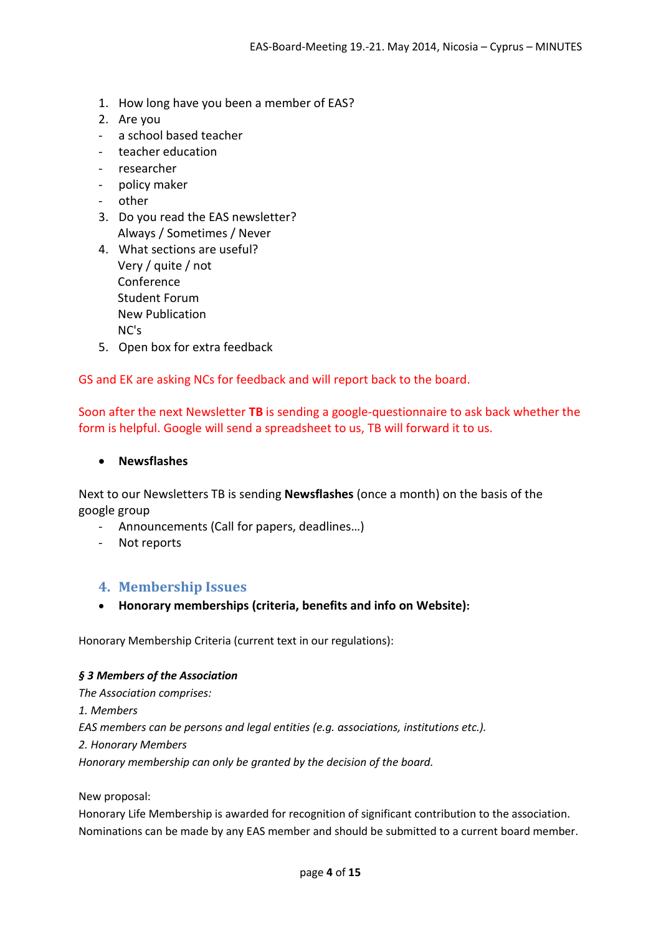- 1. How long have you been a member of EAS?
- 2. Are you
- a school based teacher
- teacher education
- researcher
- policy maker
- other
- 3. Do you read the EAS newsletter? Always / Sometimes / Never
- 4. What sections are useful? Very / quite / not Conference Student Forum New Publication NC's
- 5. Open box for extra feedback

GS and EK are asking NCs for feedback and will report back to the board.

Soon after the next Newsletter **TB** is sending a google-questionnaire to ask back whether the form is helpful. Google will send a spreadsheet to us, TB will forward it to us.

#### • **Newsflashes**

Next to our Newsletters TB is sending **Newsflashes** (once a month) on the basis of the google group

- Announcements (Call for papers, deadlines…)
- Not reports

## <span id="page-3-0"></span>**4. Membership Issues**

• **Honorary memberships (criteria, benefits and info on Website):** 

Honorary Membership Criteria (current text in our regulations):

#### *§ 3 Members of the Association*

*The Association comprises: 1. Members EAS members can be persons and legal entities (e.g. associations, institutions etc.). 2. Honorary Members Honorary membership can only be granted by the decision of the board.* 

#### New proposal:

Honorary Life Membership is awarded for recognition of significant contribution to the association. Nominations can be made by any EAS member and should be submitted to a current board member.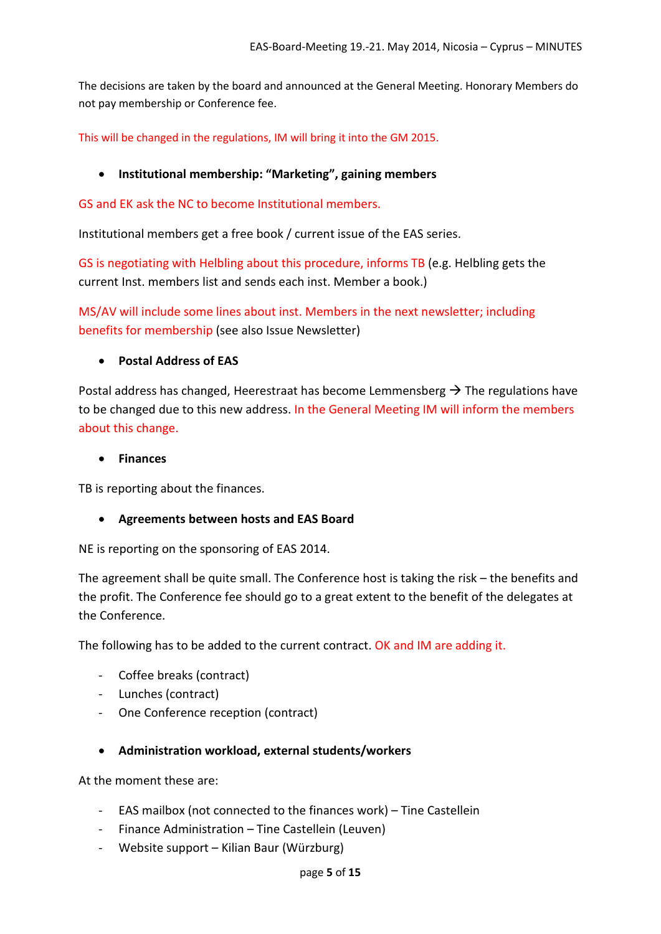The decisions are taken by the board and announced at the General Meeting. Honorary Members do not pay membership or Conference fee.

This will be changed in the regulations, IM will bring it into the GM 2015.

## • **Institutional membership: "Marketing", gaining members**

GS and EK ask the NC to become Institutional members.

Institutional members get a free book / current issue of the EAS series.

GS is negotiating with Helbling about this procedure, informs TB (e.g. Helbling gets the current Inst. members list and sends each inst. Member a book.)

MS/AV will include some lines about inst. Members in the next newsletter; including benefits for membership (see also Issue Newsletter)

#### • **Postal Address of EAS**

Postal address has changed, Heerestraat has become Lemmensberg  $\rightarrow$  The regulations have to be changed due to this new address. In the General Meeting IM will inform the members about this change.

#### • **Finances**

TB is reporting about the finances.

## • **Agreements between hosts and EAS Board**

NE is reporting on the sponsoring of EAS 2014.

The agreement shall be quite small. The Conference host is taking the risk – the benefits and the profit. The Conference fee should go to a great extent to the benefit of the delegates at the Conference.

The following has to be added to the current contract. OK and IM are adding it.

- Coffee breaks (contract)
- Lunches (contract)
- One Conference reception (contract)

#### • **Administration workload, external students/workers**

At the moment these are:

- EAS mailbox (not connected to the finances work) Tine Castellein
- Finance Administration Tine Castellein (Leuven)
- Website support Kilian Baur (Würzburg)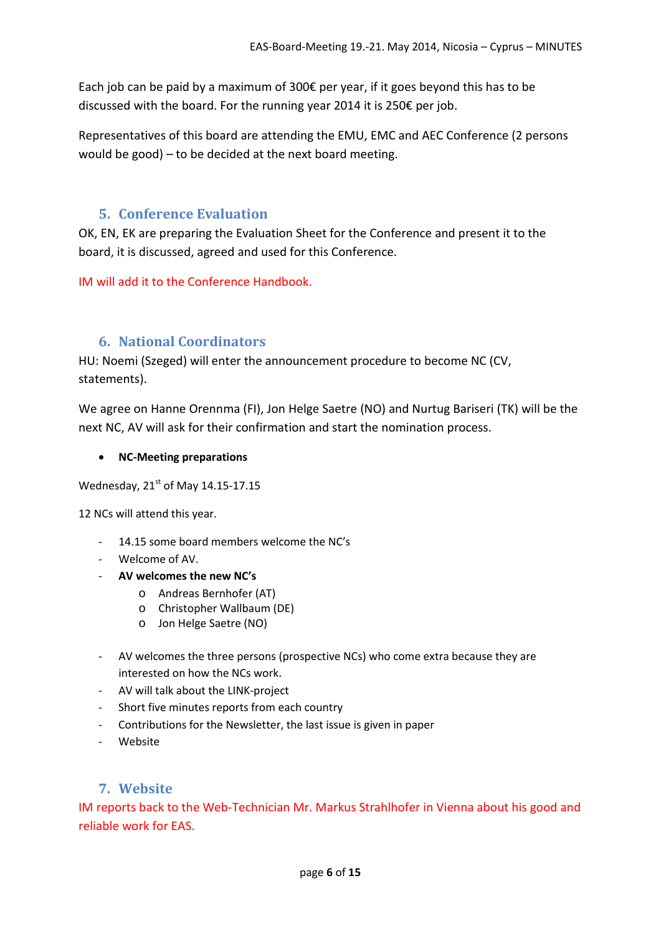Each job can be paid by a maximum of 300€ per year, if it goes beyond this has to be discussed with the board. For the running year 2014 it is 250€ per job.

Representatives of this board are attending the EMU, EMC and AEC Conference (2 persons would be good) – to be decided at the next board meeting.

# **5. Conference Evaluation**

<span id="page-5-0"></span>OK, EN, EK are preparing the Evaluation Sheet for the Conference and present it to the board, it is discussed, agreed and used for this Conference.

IM will add it to the Conference Handbook.

# **6. National Coordinators**

<span id="page-5-1"></span>HU: Noemi (Szeged) will enter the announcement procedure to become NC (CV, statements).

We agree on Hanne Orennma (FI), Jon Helge Saetre (NO) and Nurtug Bariseri (TK) will be the next NC, AV will ask for their confirmation and start the nomination process.

## • **NC-Meeting preparations**

Wednesday,  $21<sup>st</sup>$  of May 14.15-17.15

12 NCs will attend this year.

- 14.15 some board members welcome the NC's
- Welcome of AV.
- **AV welcomes the new NC's**
	- o Andreas Bernhofer (AT)
	- o Christopher Wallbaum (DE)
	- o Jon Helge Saetre (NO)
- AV welcomes the three persons (prospective NCs) who come extra because they are interested on how the NCs work.
- AV will talk about the LINK-project
- Short five minutes reports from each country
- Contributions for the Newsletter, the last issue is given in paper
- Website

# **7. Website**

<span id="page-5-2"></span>IM reports back to the Web-Technician Mr. Markus Strahlhofer in Vienna about his good and reliable work for EAS.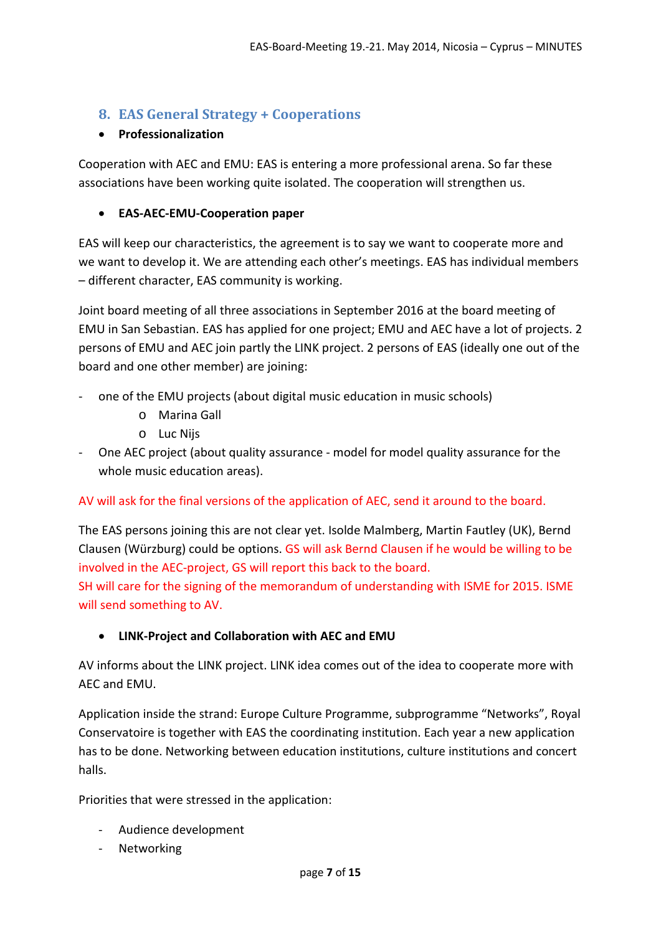# <span id="page-6-0"></span>**8. EAS General Strategy + Cooperations**

# • **Professionalization**

Cooperation with AEC and EMU: EAS is entering a more professional arena. So far these associations have been working quite isolated. The cooperation will strengthen us.

# • **EAS-AEC-EMU-Cooperation paper**

EAS will keep our characteristics, the agreement is to say we want to cooperate more and we want to develop it. We are attending each other's meetings. EAS has individual members – different character, EAS community is working.

Joint board meeting of all three associations in September 2016 at the board meeting of EMU in San Sebastian. EAS has applied for one project; EMU and AEC have a lot of projects. 2 persons of EMU and AEC join partly the LINK project. 2 persons of EAS (ideally one out of the board and one other member) are joining:

- one of the EMU projects (about digital music education in music schools)
	- o Marina Gall
	- o Luc Nijs
- One AEC project (about quality assurance model for model quality assurance for the whole music education areas).

## AV will ask for the final versions of the application of AEC, send it around to the board.

The EAS persons joining this are not clear yet. Isolde Malmberg, Martin Fautley (UK), Bernd Clausen (Würzburg) could be options. GS will ask Bernd Clausen if he would be willing to be involved in the AEC-project, GS will report this back to the board. SH will care for the signing of the memorandum of understanding with ISME for 2015. ISME will send something to AV.

## • **LINK-Project and Collaboration with AEC and EMU**

AV informs about the LINK project. LINK idea comes out of the idea to cooperate more with AEC and EMU.

Application inside the strand: Europe Culture Programme, subprogramme "Networks", Royal Conservatoire is together with EAS the coordinating institution. Each year a new application has to be done. Networking between education institutions, culture institutions and concert halls.

Priorities that were stressed in the application:

- Audience development
- Networking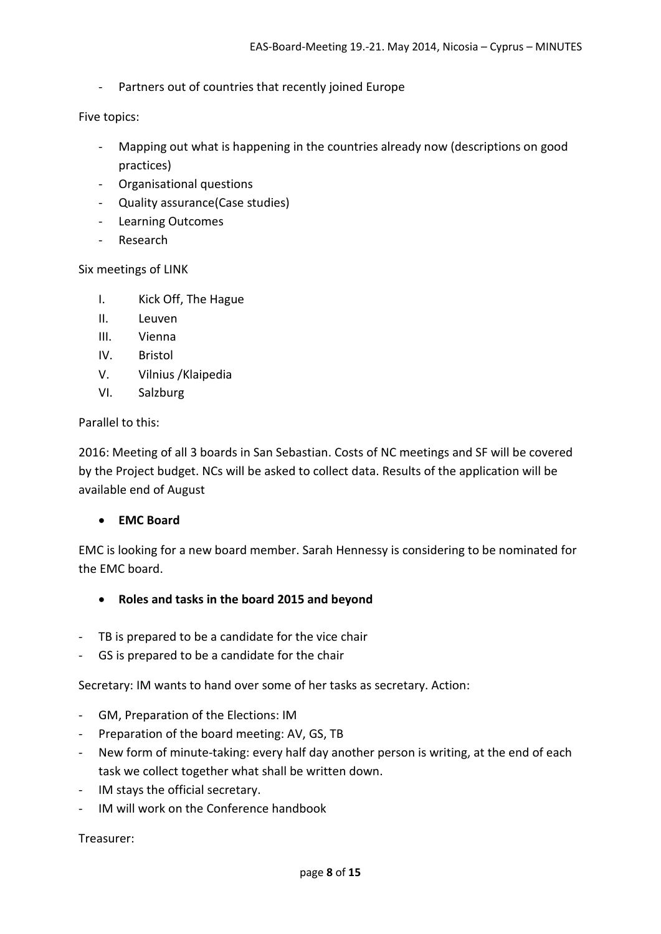- Partners out of countries that recently joined Europe

Five topics:

- Mapping out what is happening in the countries already now (descriptions on good practices)
- Organisational questions
- Quality assurance(Case studies)
- Learning Outcomes
- Research

#### Six meetings of LINK

- I. Kick Off, The Hague
- II. Leuven
- III. Vienna
- IV. Bristol
- V. Vilnius /Klaipedia
- VI. Salzburg

#### Parallel to this:

2016: Meeting of all 3 boards in San Sebastian. Costs of NC meetings and SF will be covered by the Project budget. NCs will be asked to collect data. Results of the application will be available end of August

#### • **EMC Board**

EMC is looking for a new board member. Sarah Hennessy is considering to be nominated for the EMC board.

- **Roles and tasks in the board 2015 and beyond**
- TB is prepared to be a candidate for the vice chair
- GS is prepared to be a candidate for the chair

Secretary: IM wants to hand over some of her tasks as secretary. Action:

- GM, Preparation of the Elections: IM
- Preparation of the board meeting: AV, GS, TB
- New form of minute-taking: every half day another person is writing, at the end of each task we collect together what shall be written down.
- IM stays the official secretary.
- IM will work on the Conference handbook

#### Treasurer: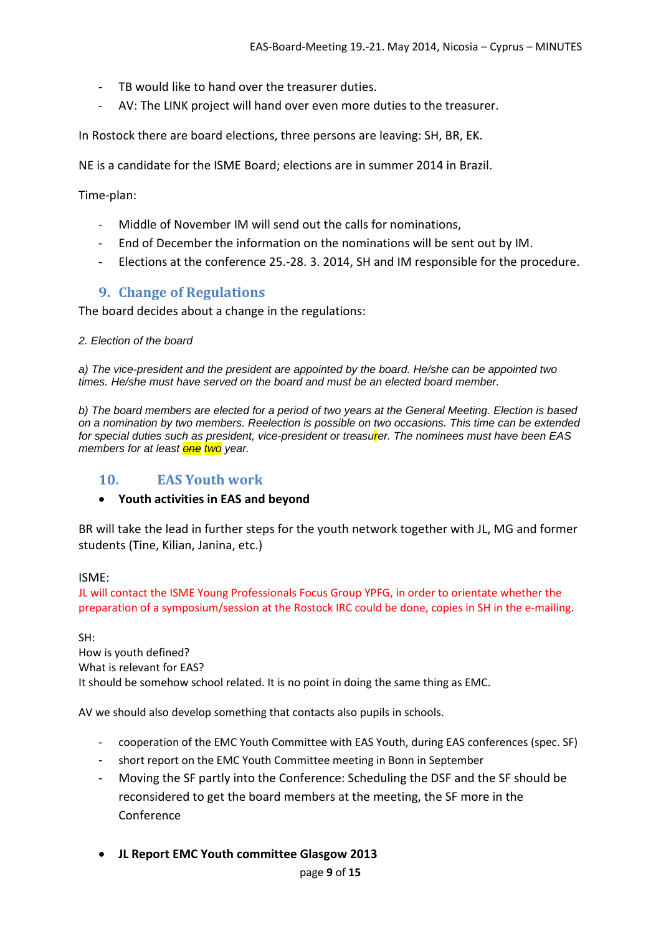- TB would like to hand over the treasurer duties.
- AV: The LINK project will hand over even more duties to the treasurer.

In Rostock there are board elections, three persons are leaving: SH, BR, EK.

NE is a candidate for the ISME Board; elections are in summer 2014 in Brazil.

Time-plan:

- Middle of November IM will send out the calls for nominations,
- End of December the information on the nominations will be sent out by IM.
- Elections at the conference 25.-28. 3. 2014, SH and IM responsible for the procedure.

# **9. Change of Regulations**

<span id="page-8-0"></span>The board decides about a change in the regulations:

#### *2. Election of the board*

*a) The vice-president and the president are appointed by the board. He/she can be appointed two times. He/she must have served on the board and must be an elected board member.*

*b) The board members are elected for a period of two years at the General Meeting. Election is based on a nomination by two members. Reelection is possible on two occasions. This time can be extended*  for special duties such as president, vice-president or treasu<mark>r</mark>er. The nominees must have been EAS *members for at least one two year.* 

## <span id="page-8-1"></span>**10. EAS Youth work**

#### • **Youth activities in EAS and beyond**

BR will take the lead in further steps for the youth network together with JL, MG and former students (Tine, Kilian, Janina, etc.)

#### ISME:

JL will contact the ISME Young Professionals Focus Group YPFG, in order to orientate whether the preparation of a symposium/session at the Rostock IRC could be done, copies in SH in the e-mailing.

SH: How is youth defined? What is relevant for EAS? It should be somehow school related. It is no point in doing the same thing as EMC.

AV we should also develop something that contacts also pupils in schools.

- cooperation of the EMC Youth Committee with EAS Youth, during EAS conferences (spec. SF)
- short report on the EMC Youth Committee meeting in Bonn in September
- Moving the SF partly into the Conference: Scheduling the DSF and the SF should be reconsidered to get the board members at the meeting, the SF more in the Conference
- **JL Report EMC Youth committee Glasgow 2013**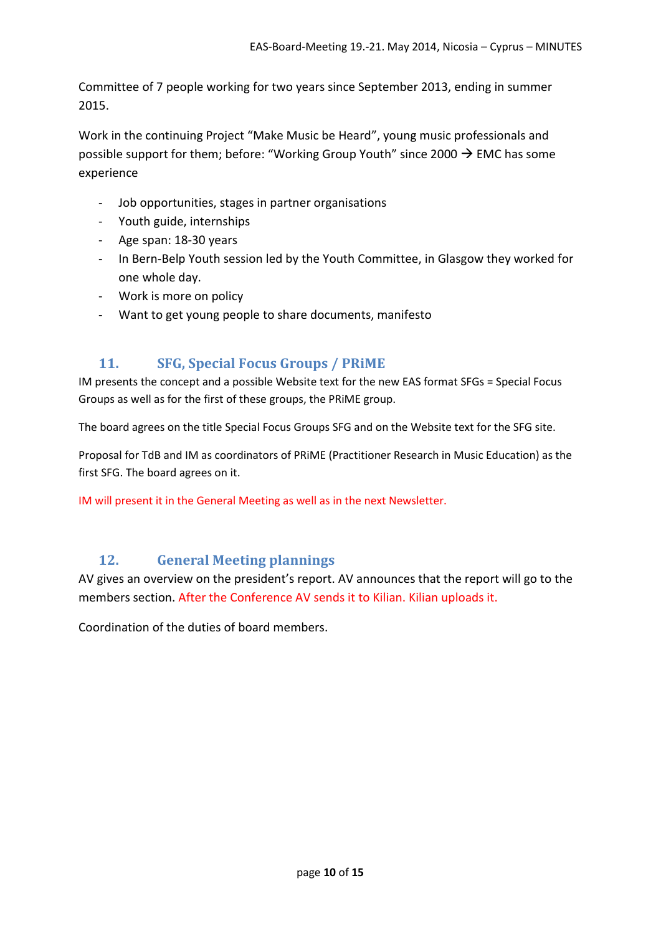Committee of 7 people working for two years since September 2013, ending in summer 2015.

Work in the continuing Project "Make Music be Heard", young music professionals and possible support for them; before: "Working Group Youth" since 2000  $\rightarrow$  EMC has some experience

- Job opportunities, stages in partner organisations
- Youth guide, internships
- Age span: 18-30 years
- In Bern-Belp Youth session led by the Youth Committee, in Glasgow they worked for one whole day.
- Work is more on policy
- Want to get young people to share documents, manifesto

# **11. SFG, Special Focus Groups / PRiME**

<span id="page-9-0"></span>IM presents the concept and a possible Website text for the new EAS format SFGs = Special Focus Groups as well as for the first of these groups, the PRiME group.

The board agrees on the title Special Focus Groups SFG and on the Website text for the SFG site.

Proposal for TdB and IM as coordinators of PRiME (Practitioner Research in Music Education) as the first SFG. The board agrees on it.

IM will present it in the General Meeting as well as in the next Newsletter.

# **12. General Meeting plannings**

<span id="page-9-1"></span>AV gives an overview on the president's report. AV announces that the report will go to the members section. After the Conference AV sends it to Kilian. Kilian uploads it.

Coordination of the duties of board members.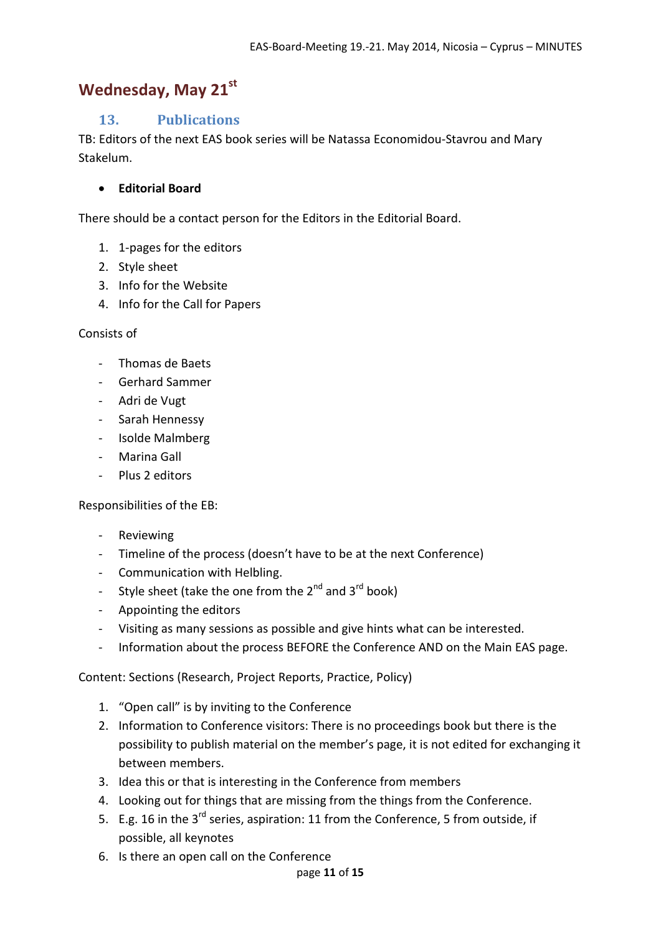# <span id="page-10-0"></span>Wednesday, May 21<sup>st</sup>

# **13. Publications**

TB: Editors of the next EAS book series will be Natassa Economidou-Stavrou and Mary Stakelum.

# • **Editorial Board**

There should be a contact person for the Editors in the Editorial Board.

- 1. 1-pages for the editors
- 2. Style sheet
- 3. Info for the Website
- 4. Info for the Call for Papers

## Consists of

- Thomas de Baets
- Gerhard Sammer
- Adri de Vugt
- Sarah Hennessy
- Isolde Malmberg
- Marina Gall
- Plus 2 editors

Responsibilities of the EB:

- Reviewing
- Timeline of the process (doesn't have to be at the next Conference)
- Communication with Helbling.
- Style sheet (take the one from the  $2^{nd}$  and  $3^{rd}$  book)
- Appointing the editors
- Visiting as many sessions as possible and give hints what can be interested.
- Information about the process BEFORE the Conference AND on the Main EAS page.

Content: Sections (Research, Project Reports, Practice, Policy)

- 1. "Open call" is by inviting to the Conference
- 2. Information to Conference visitors: There is no proceedings book but there is the possibility to publish material on the member's page, it is not edited for exchanging it between members.
- 3. Idea this or that is interesting in the Conference from members
- 4. Looking out for things that are missing from the things from the Conference.
- 5. E.g. 16 in the 3<sup>rd</sup> series, aspiration: 11 from the Conference, 5 from outside, if possible, all keynotes
- 6. Is there an open call on the Conference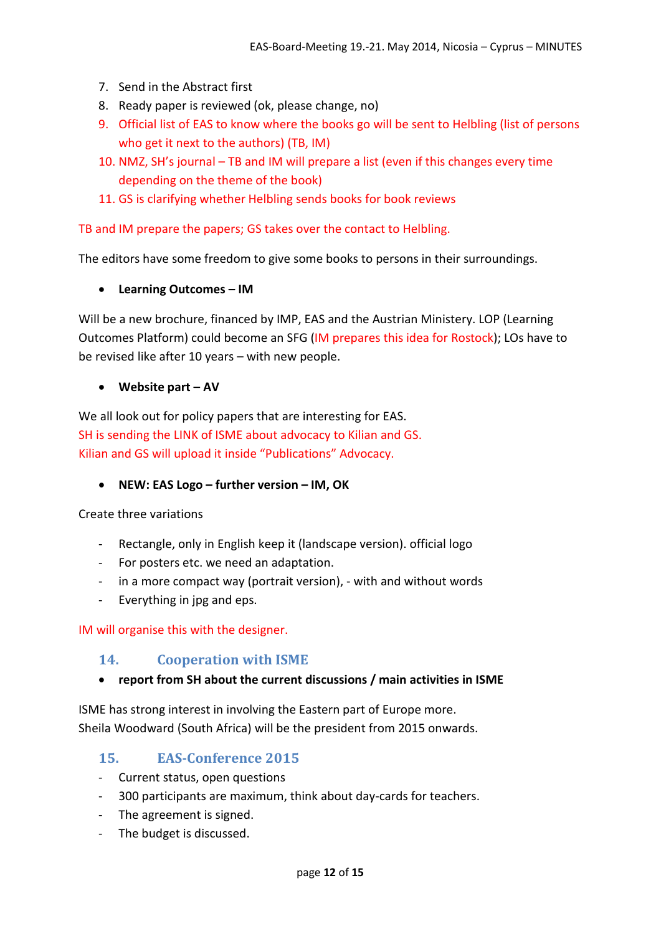- 7. Send in the Abstract first
- 8. Ready paper is reviewed (ok, please change, no)
- 9. Official list of EAS to know where the books go will be sent to Helbling (list of persons who get it next to the authors) (TB, IM)
- 10. NMZ, SH's journal TB and IM will prepare a list (even if this changes every time depending on the theme of the book)
- 11. GS is clarifying whether Helbling sends books for book reviews

TB and IM prepare the papers; GS takes over the contact to Helbling.

The editors have some freedom to give some books to persons in their surroundings.

• **Learning Outcomes – IM**

Will be a new brochure, financed by IMP, EAS and the Austrian Ministery. LOP (Learning Outcomes Platform) could become an SFG (IM prepares this idea for Rostock); LOs have to be revised like after 10 years – with new people.

• **Website part – AV** 

We all look out for policy papers that are interesting for EAS. SH is sending the LINK of ISME about advocacy to Kilian and GS. Kilian and GS will upload it inside "Publications" Advocacy.

• **NEW: EAS Logo – further version – IM, OK**

Create three variations

- Rectangle, only in English keep it (landscape version). official logo
- For posters etc. we need an adaptation.
- in a more compact way (portrait version), with and without words
- Everything in jpg and eps.

IM will organise this with the designer.

## <span id="page-11-0"></span>**14. Cooperation with ISME**

## • **report from SH about the current discussions / main activities in ISME**

ISME has strong interest in involving the Eastern part of Europe more. Sheila Woodward (South Africa) will be the president from 2015 onwards.

# <span id="page-11-1"></span>**15. EAS-Conference 2015**

- Current status, open questions
- 300 participants are maximum, think about day-cards for teachers.
- The agreement is signed.
- The budget is discussed.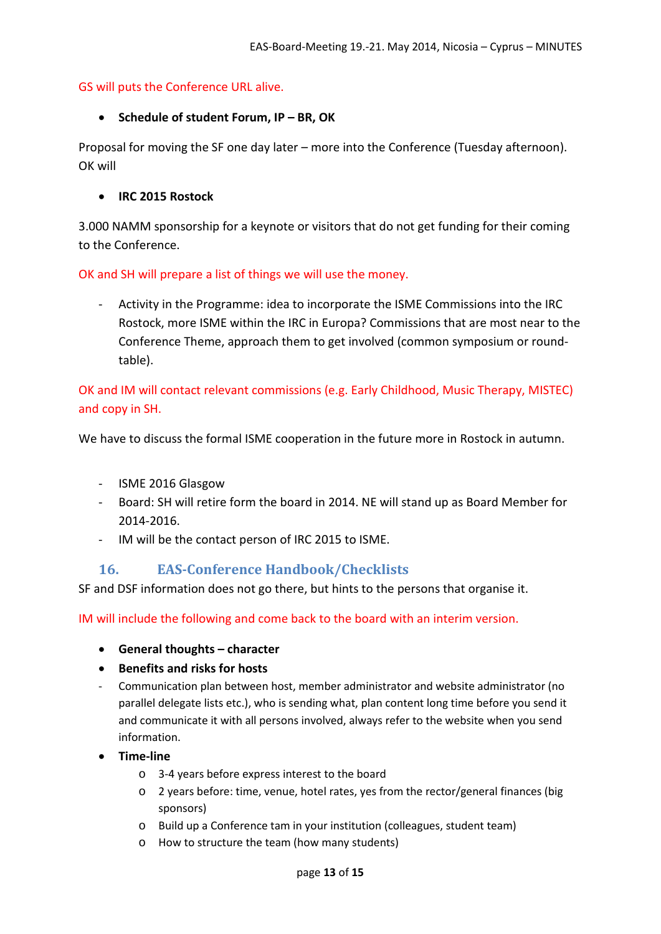### GS will puts the Conference URL alive.

#### • **Schedule of student Forum, IP – BR, OK**

Proposal for moving the SF one day later – more into the Conference (Tuesday afternoon). OK will

#### • **IRC 2015 Rostock**

3.000 NAMM sponsorship for a keynote or visitors that do not get funding for their coming to the Conference.

OK and SH will prepare a list of things we will use the money.

- Activity in the Programme: idea to incorporate the ISME Commissions into the IRC Rostock, more ISME within the IRC in Europa? Commissions that are most near to the Conference Theme, approach them to get involved (common symposium or roundtable).

OK and IM will contact relevant commissions (e.g. Early Childhood, Music Therapy, MISTEC) and copy in SH.

We have to discuss the formal ISME cooperation in the future more in Rostock in autumn.

- ISME 2016 Glasgow
- Board: SH will retire form the board in 2014. NE will stand up as Board Member for 2014-2016.
- IM will be the contact person of IRC 2015 to ISME.

# <span id="page-12-0"></span>**16. EAS-Conference Handbook/Checklists**

SF and DSF information does not go there, but hints to the persons that organise it.

IM will include the following and come back to the board with an interim version.

- **General thoughts – character**
- **Benefits and risks for hosts**
- Communication plan between host, member administrator and website administrator (no parallel delegate lists etc.), who is sending what, plan content long time before you send it and communicate it with all persons involved, always refer to the website when you send information.
- **Time-line**
	- o 3-4 years before express interest to the board
	- o 2 years before: time, venue, hotel rates, yes from the rector/general finances (big sponsors)
	- o Build up a Conference tam in your institution (colleagues, student team)
	- o How to structure the team (how many students)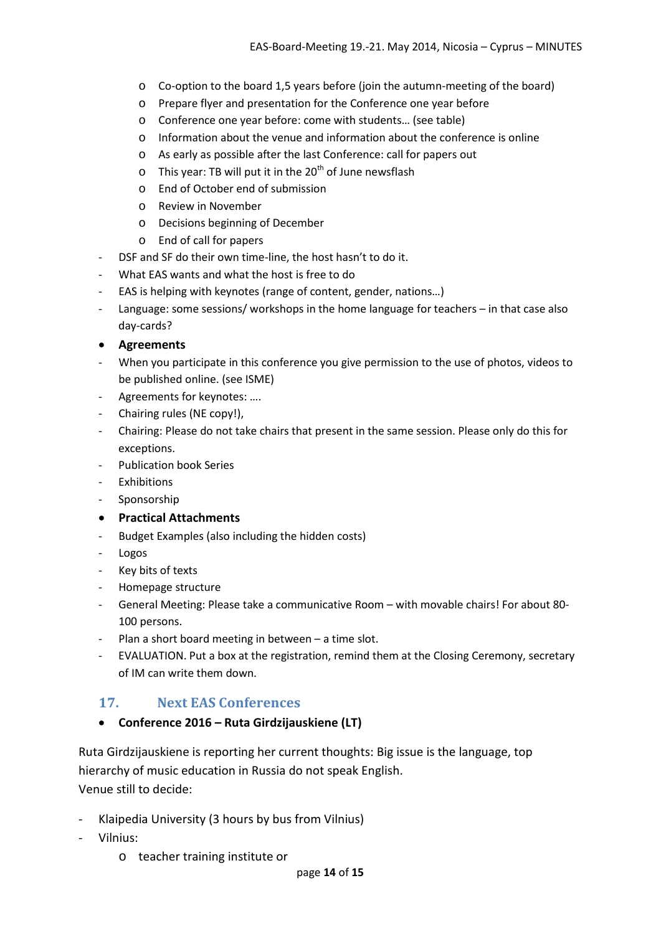- o Co-option to the board 1,5 years before (join the autumn-meeting of the board)
- o Prepare flyer and presentation for the Conference one year before
- o Conference one year before: come with students… (see table)
- o Information about the venue and information about the conference is online
- o As early as possible after the last Conference: call for papers out
- $\circ$  This year: TB will put it in the 20<sup>th</sup> of June newsflash
- o End of October end of submission
- o Review in November
- o Decisions beginning of December
- o End of call for papers
- DSF and SF do their own time-line, the host hasn't to do it.
- What EAS wants and what the host is free to do
- EAS is helping with keynotes (range of content, gender, nations…)
- Language: some sessions/ workshops in the home language for teachers in that case also day-cards?
- **Agreements**
- When you participate in this conference you give permission to the use of photos, videos to be published online. (see ISME)
- Agreements for keynotes: ....
- Chairing rules (NE copy!),
- Chairing: Please do not take chairs that present in the same session. Please only do this for exceptions.
- Publication book Series
- Exhibitions
- Sponsorship
- **Practical Attachments**
- Budget Examples (also including the hidden costs)
- Logos
- Key bits of texts
- Homepage structure
- General Meeting: Please take a communicative Room with movable chairs! For about 80- 100 persons.
- Plan a short board meeting in between  $-$  a time slot.
- EVALUATION. Put a box at the registration, remind them at the Closing Ceremony, secretary of IM can write them down.

# <span id="page-13-0"></span>**17. Next EAS Conferences**

## • **Conference 2016 – Ruta Girdzijauskiene (LT)**

Ruta Girdzijauskiene is reporting her current thoughts: Big issue is the language, top hierarchy of music education in Russia do not speak English. Venue still to decide:

- Klaipedia University (3 hours by bus from Vilnius)
- Vilnius:
	- o teacher training institute or